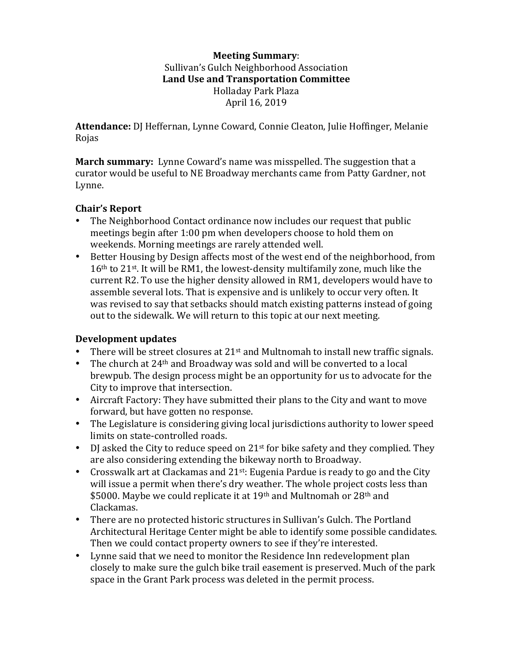## **Meeting Summary**: Sullivan's Gulch Neighborhood Association Land Use and Transportation Committee Holladay Park Plaza April 16, 2019

Attendance: DJ Heffernan, Lynne Coward, Connie Cleaton, Julie Hoffinger, Melanie Rojas

**March summary:** Lynne Coward's name was misspelled. The suggestion that a curator would be useful to NE Broadway merchants came from Patty Gardner, not Lynne.

## **Chair's Report**

- The Neighborhood Contact ordinance now includes our request that public meetings begin after 1:00 pm when developers choose to hold them on weekends. Morning meetings are rarely attended well.
- Better Housing by Design affects most of the west end of the neighborhood, from  $16<sup>th</sup>$  to  $21<sup>st</sup>$ . It will be RM1, the lowest-density multifamily zone, much like the current R2. To use the higher density allowed in RM1, developers would have to assemble several lots. That is expensive and is unlikely to occur very often. It was revised to say that setbacks should match existing patterns instead of going out to the sidewalk. We will return to this topic at our next meeting.

## **Development updates**

- There will be street closures at  $21^{st}$  and Multnomah to install new traffic signals.
- The church at  $24<sup>th</sup>$  and Broadway was sold and will be converted to a local brewpub. The design process might be an opportunity for us to advocate for the City to improve that intersection.
- Aircraft Factory: They have submitted their plans to the City and want to move forward, but have gotten no response.
- The Legislature is considering giving local jurisdictions authority to lower speed limits on state-controlled roads.
- DJ asked the City to reduce speed on  $21^{st}$  for bike safety and they complied. They are also considering extending the bikeway north to Broadway.
- Crosswalk art at Clackamas and  $21^{st}$ : Eugenia Pardue is ready to go and the City will issue a permit when there's dry weather. The whole project costs less than \$5000. Maybe we could replicate it at 19<sup>th</sup> and Multnomah or 28<sup>th</sup> and Clackamas.
- There are no protected historic structures in Sullivan's Gulch. The Portland Architectural Heritage Center might be able to identify some possible candidates. Then we could contact property owners to see if they're interested.
- Lynne said that we need to monitor the Residence Inn redevelopment plan closely to make sure the gulch bike trail easement is preserved. Much of the park space in the Grant Park process was deleted in the permit process.